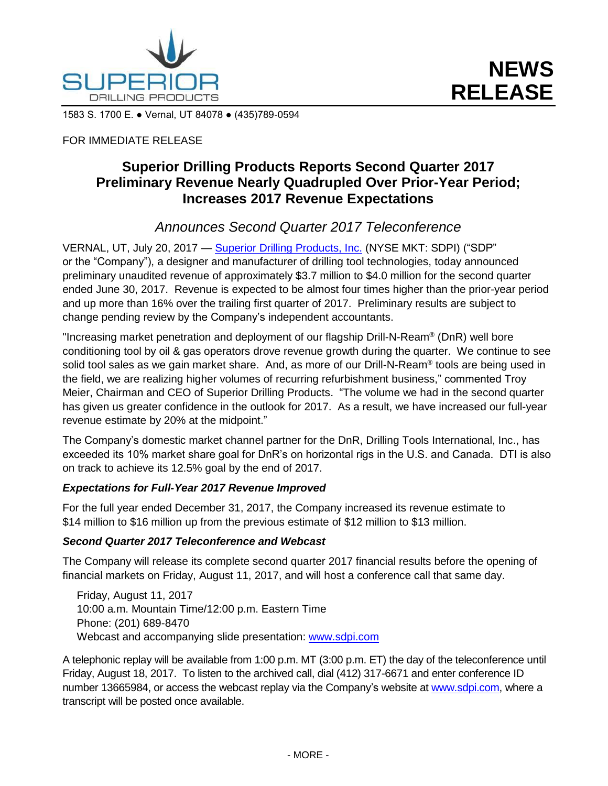

1583 S. 1700 E. ● Vernal, UT 84078 ● (435)789-0594

### FOR IMMEDIATE RELEASE

# **Superior Drilling Products Reports Second Quarter 2017 Preliminary Revenue Nearly Quadrupled Over Prior-Year Period; Increases 2017 Revenue Expectations**

## *Announces Second Quarter 2017 Teleconference*

VERNAL, UT, July 20, 2017 - [Superior Drilling Products, Inc.](http://www.sdpi.com/) (NYSE MKT: SDPI) ("SDP" or the "Company"), a designer and manufacturer of drilling tool technologies, today announced preliminary unaudited revenue of approximately \$3.7 million to \$4.0 million for the second quarter ended June 30, 2017. Revenue is expected to be almost four times higher than the prior-year period and up more than 16% over the trailing first quarter of 2017. Preliminary results are subject to change pending review by the Company's independent accountants.

"Increasing market penetration and deployment of our flagship Drill-N-Ream® (DnR) well bore conditioning tool by oil & gas operators drove revenue growth during the quarter. We continue to see solid tool sales as we gain market share. And, as more of our Drill-N-Ream® tools are being used in the field, we are realizing higher volumes of recurring refurbishment business," commented Troy Meier, Chairman and CEO of Superior Drilling Products. "The volume we had in the second quarter has given us greater confidence in the outlook for 2017. As a result, we have increased our full-year revenue estimate by 20% at the midpoint."

The Company's domestic market channel partner for the DnR, Drilling Tools International, Inc., has exceeded its 10% market share goal for DnR's on horizontal rigs in the U.S. and Canada. DTI is also on track to achieve its 12.5% goal by the end of 2017.

#### *Expectations for Full-Year 2017 Revenue Improved*

For the full year ended December 31, 2017, the Company increased its revenue estimate to \$14 million to \$16 million up from the previous estimate of \$12 million to \$13 million.

#### *Second Quarter 2017 Teleconference and Webcast*

The Company will release its complete second quarter 2017 financial results before the opening of financial markets on Friday, August 11, 2017, and will host a conference call that same day.

Friday, August 11, 2017 10:00 a.m. Mountain Time/12:00 p.m. Eastern Time Phone: (201) 689-8470 Webcast and accompanying slide presentation: [www.sdpi.com](http://www.sdpi.com/)

A telephonic replay will be available from 1:00 p.m. MT (3:00 p.m. ET) the day of the teleconference until Friday, August 18, 2017. To listen to the archived call, dial (412) 317-6671 and enter conference ID number 13665984, or access the webcast replay via the Company's website at [www.sdpi.com,](http://www.sdpi.com/) where a transcript will be posted once available.